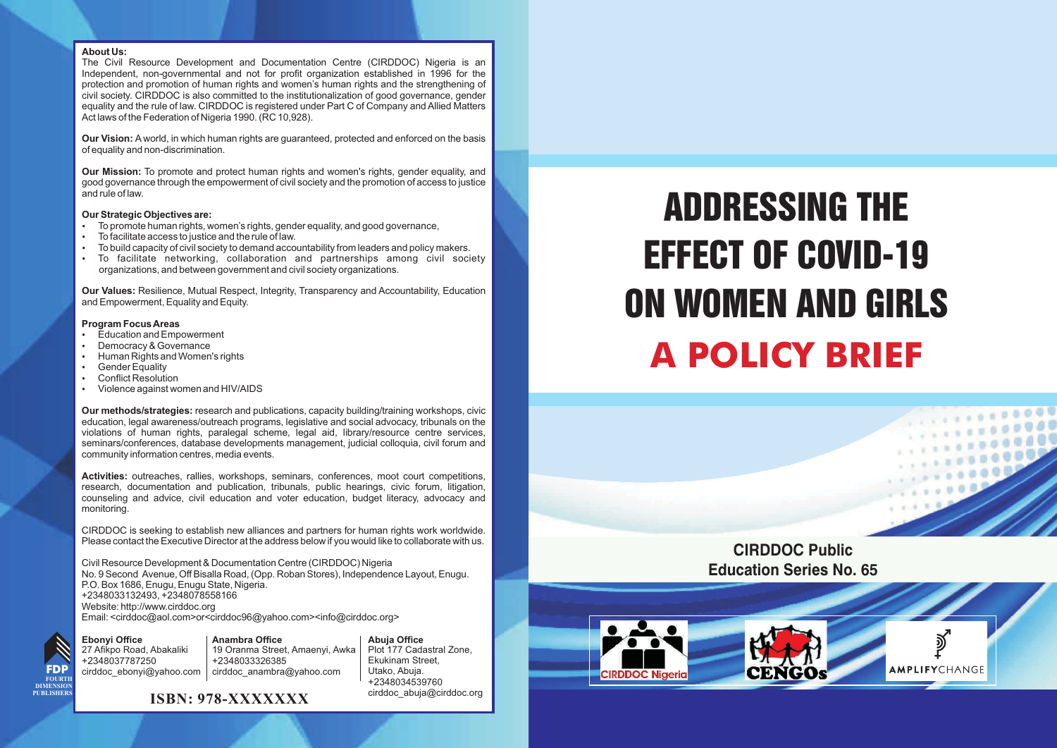#### **About Us:**

The Civil Resource Development and Documentation Centre (CIRDDOC) Nigeria is an Independent, non-governmental and not for profit organization established in 1996 for the protection and promotion of human rights and women's human rights and the strengthening of civil society. CIRDDOC is also committed to the institutionalization of good governance, gender equality and the rule of law. CIRDDOC is registered under Part C of Company and Allied Matters Act laws of the Federation of Nigeria 1990. (RC 10,928).

**Our Vision:** A world, in which human rights are guaranteed, protected and enforced on the basis of equality and non-discrimination.

**Our Mission:** To promote and protect human rights and women's rights, gender equality, and good governance through the empowerment of civil society and the promotion of access to justice and rule of law.

- ?**Our Strategic Objectives are:** • To promote human rights, women's rights, gender equality, and good governance,<br>• To facilitate access to justice and the rule of law.
- 
- To facilitate access to justice and the rule of law.<br>• To build capacity of civil society to demand accountability from leaders and policy makers.<br>• To facilitate networking collaboration and partnerships among civil soc
- ?To build capacity of civil society to demand accountability from leaders and policy makers. To facilitate networking, collaboration and partnerships among civil society organizations, and between government and civil society organizations.

**Our Values:** Resilience, Mutual Respect, Integrity, Transparency and Accountability, Education and Empowerment, Equality and Equity.

#### **Program Focus Areas**<br>• Education and Empowerment

- 
- Democracy & Governance • Democracy & Governance<br>• Human Rights and Women
- Human Rights and Women's rights<br>• Gender Equality
- Gender Equality<br>Conflict Resolution
- 
- Conflict Resolution<br>• Violence against women and HIV/AIDS

**Our methods/strategies:** research and publications, capacity building/training workshops, civic education, legal awareness/outreach programs, legislative and social advocacy, tribunals on the violations of human rights, paralegal scheme, legal aid, library/resource centre services, seminars/conferences, database developments management, judicial colloquia, civil forum and community information centres, media events.

**Activities:** outreaches, rallies, workshops, seminars, conferences, moot court competitions, research, documentation and publication, tribunals, public hearings, civic forum, litigation, counseling and advice, civil education and voter education, budget literacy, advocacy and monitoring.

CIRDDOC is seeking to establish new alliances and partners for human rights work worldwide. Please contact the Executive Director at the address below if you would like to collaborate with us.

Civil Resource Development & Documentation Centre (CIRDDOC) Nigeria No. 9 Second Avenue, Off Bisalla Road, (Opp. Roban Stores), Independence Layout, Enugu. P.O. Box 1686, Enugu, Enugu State, Nigeria. +2348033132493, +2348078558166 Website: http://www.cirddoc.org Email: <cirddoc@aol.com>or<cirddoc96@yahoo.com><info@cirddoc.org>

**Ebonyi Office FDP FOURTH DIMENSION PUBLISHERS**

27 Afikpo Road, Abakaliki +2348037787250 cirddoc\_ebonyi@yahoo.com **Anambra Office** 19 Oranma Street, Amaenyi, Awka +2348033326385 cirddoc\_anambra@yahoo.com

**Abuja Office** Plot 177 Cadastral Zone, Ekukinam Street, Utako, Abuja. +2348034539760 cirddoc\_abuja@cirddoc.org

#### **ISBN: 978-XXXXXXX**

# **A POLICY BRIEF** ADDRESSING THE EFFECT OF COVID-19 ON WOMEN AND GIRLS

**CIRDDOC Public Education Series No. 65**  $0.0000$ 

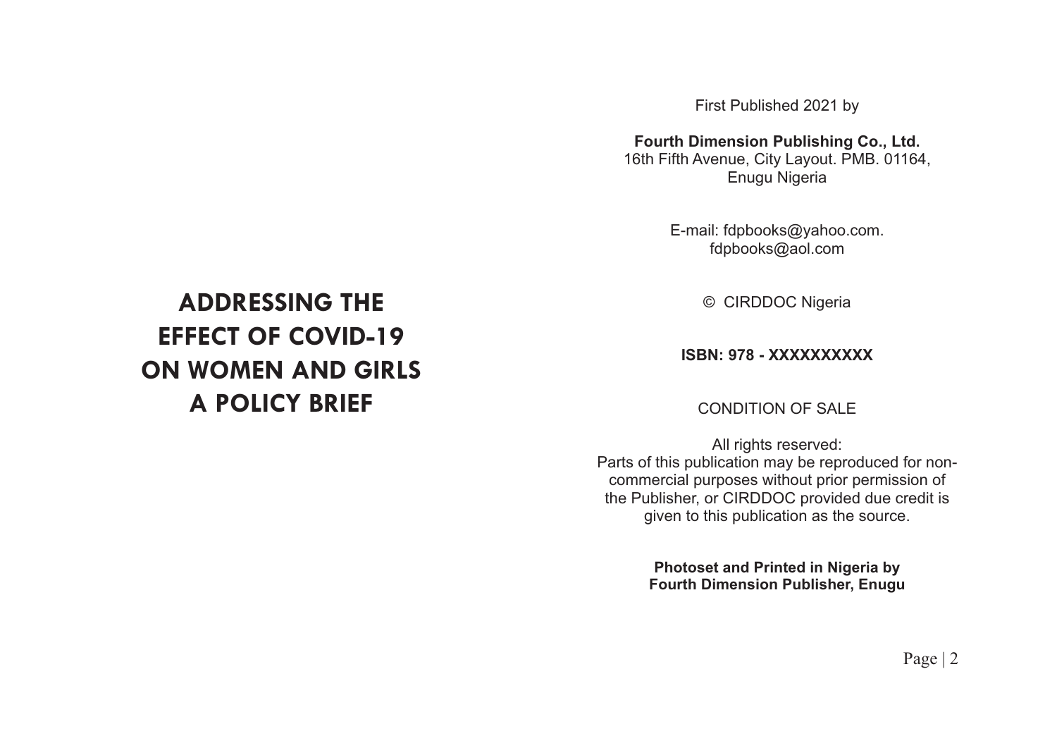First Published 2021 by

**Fourth Dimension Publishing Co., Ltd.**

16th Fifth Avenue, City Layout. PMB. 01164, Enugu Nigeria

> E-mail: fdpbooks@yahoo.com. fdpbooks@aol.com

> > © CIRDDOC Nigeria

#### **ISBN: 978 - XXXXXXXXXX**

#### CONDITION OF SALE

All rights reserved: Parts of this publication may be reproduced for noncommercial purposes without prior permission of the Publisher, or CIRDDOC provided due credit is given to this publication as the source.

> **Photoset and Printed in Nigeria by Fourth Dimension Publisher, Enugu**

# **ADDRESSING THE EFFECT OF COVID-19 ON WOMEN AND GIRLS A POLICY BRIEF**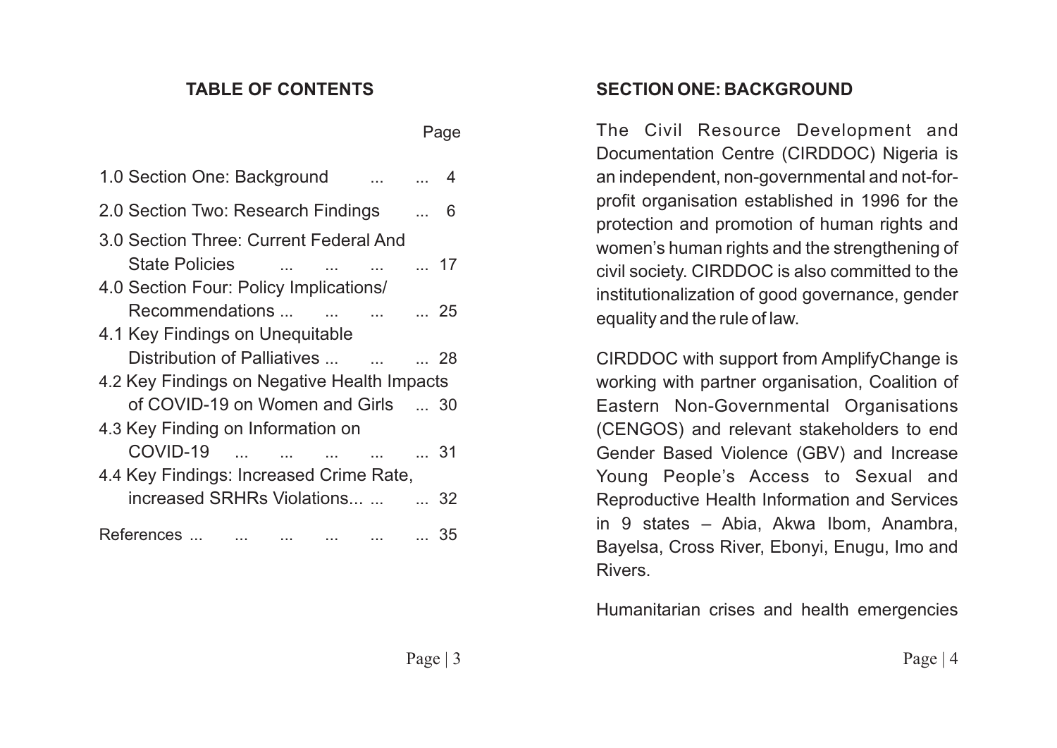#### **TABLE OF CONTENTS**

|                                             | 1.0 Section One: Background             |  |  |  | 4 |  |  |
|---------------------------------------------|-----------------------------------------|--|--|--|---|--|--|
|                                             | 2.0 Section Two: Research Findings  6   |  |  |  |   |  |  |
|                                             | 3.0 Section Three: Current Federal And  |  |  |  |   |  |  |
|                                             | State Policies     17                   |  |  |  |   |  |  |
|                                             | 4.0 Section Four: Policy Implications/  |  |  |  |   |  |  |
|                                             | Recommendations     25                  |  |  |  |   |  |  |
|                                             | 4.1 Key Findings on Unequitable         |  |  |  |   |  |  |
|                                             | Distribution of Palliatives    28       |  |  |  |   |  |  |
| 4.2 Key Findings on Negative Health Impacts |                                         |  |  |  |   |  |  |
|                                             | of COVID-19 on Women and Girls  30      |  |  |  |   |  |  |
| 4.3 Key Finding on Information on           |                                         |  |  |  |   |  |  |
|                                             | COVID-19      31                        |  |  |  |   |  |  |
|                                             | 4.4 Key Findings: Increased Crime Rate, |  |  |  |   |  |  |
|                                             | increased SRHRs Violations   32         |  |  |  |   |  |  |
|                                             | References       35                     |  |  |  |   |  |  |
|                                             |                                         |  |  |  |   |  |  |

#### **SECTION ONE: BACKGROUND**

The Civil Resource Development and Documentation Centre (CIRDDOC) Nigeria is an independent, non-governmental and not-forprofit organisation established in 1996 for the protection and promotion of human rights and women's human rights and the strengthening of civil society. CIRDDOC is also committed to the institutionalization of good governance, gender equality and the rule of law.

CIRDDOC with support from AmplifyChange is working with partner organisation, Coalition of Eastern Non-Governmental Organisations (CENGOS) and relevant stakeholders to end Gender Based Violence (GBV) and Increase Young People's Access to Sexual and Reproductive Health Information and Services in 9 states – Abia, Akwa Ibom, Anambra, Bayelsa, Cross River, Ebonyi, Enugu, Imo and Rivers.

Humanitarian crises and health emergencies

Page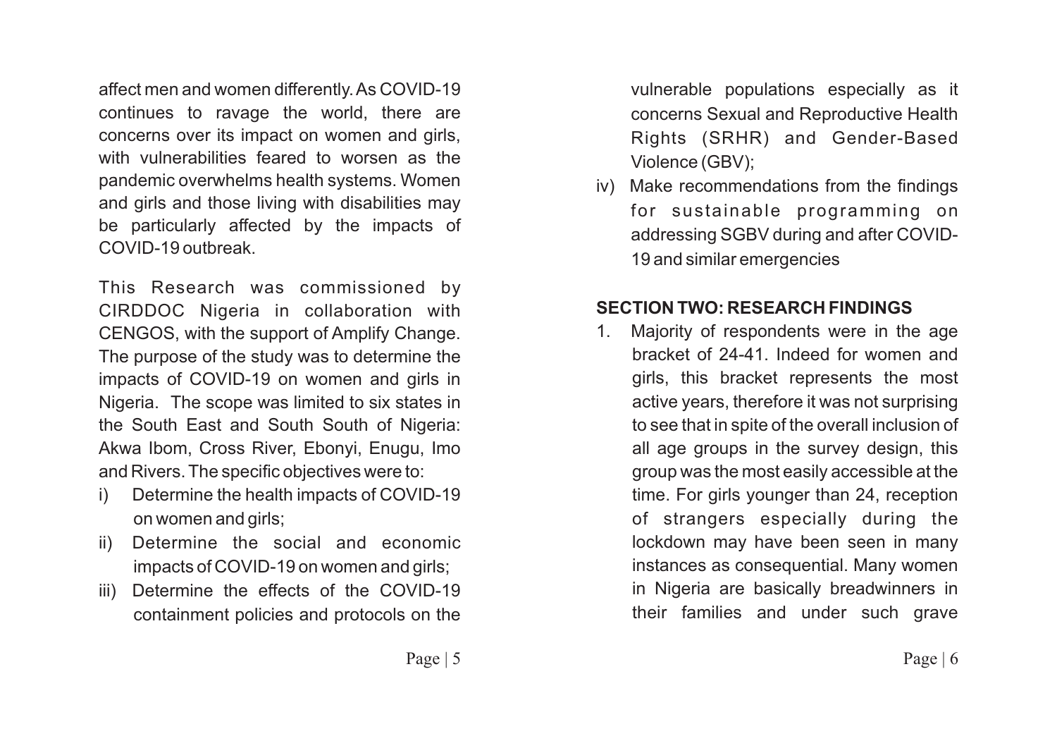affect men and women differently. As COVID-19 continues to ravage the world, there are concerns over its impact on women and girls, with vulnerabilities feared to worsen as the pandemic overwhelms health systems. Women and girls and those living with disabilities may be particularly affected by the impacts of COVID-19 outbreak.

This Research was commissioned by CIRDDOC Nigeria in collaboration with CENGOS, with the support of Amplify Change. The purpose of the study was to determine the impacts of COVID-19 on women and girls in Nigeria. The scope was limited to six states in the South East and South South of Nigeria: Akwa Ibom, Cross River, Ebonyi, Enugu, Imo and Rivers. The specific objectives were to:

- i) Determine the health impacts of COVID-19 on women and girls;
- ii) Determine the social and economic impacts of COVID-19 on women and girls;
- iii) Determine the effects of the COVID-19 containment policies and protocols on the

vulnerable populations especially as it concerns Sexual and Reproductive Health Rights (SRHR) and Gender-Based Violence (GBV);

iv) Make recommendations from the findings for sustainable programming on addressing SGBV during and after COVID-19 and similar emergencies

#### **SECTION TWO: RESEARCH FINDINGS**

1. Majority of respondents were in the age bracket of 24-41. Indeed for women and girls, this bracket represents the most active years, therefore it was not surprising to see that in spite of the overall inclusion of all age groups in the survey design, this group was the most easily accessible at the time. For girls younger than 24, reception of strangers especially during the lockdown may have been seen in many instances as consequential. Many women in Nigeria are basically breadwinners in their families and under such grave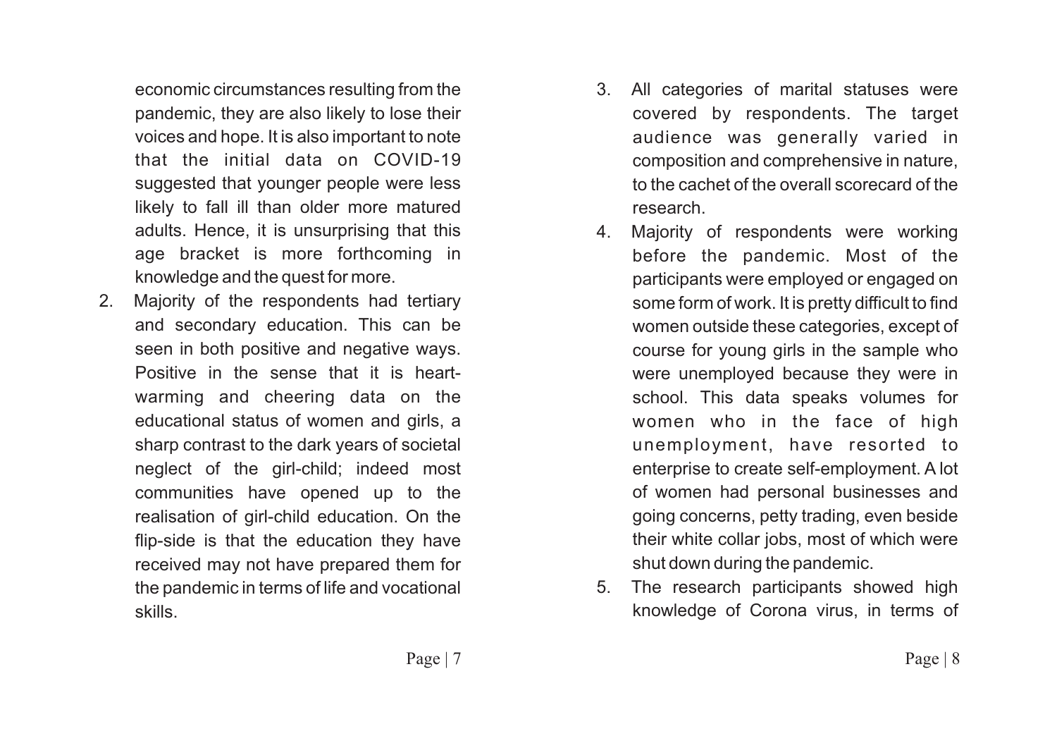economic circumstances resulting from the pandemic, they are also likely to lose their voices and hope. It is also important to note that the initial data on COVID-19 suggested that younger people were less likely to fall ill than older more matured adults. Hence, it is unsurprising that this age bracket is more forthcoming in knowledge and the quest for more.

2. Majority of the respondents had tertiary and secondary education. This can be seen in both positive and negative ways. Positive in the sense that it is heartwarming and cheering data on the educational status of women and girls, a sharp contrast to the dark years of societal neglect of the girl-child; indeed most communities have opened up to the realisation of girl-child education. On the flip-side is that the education they have received may not have prepared them for the pandemic in terms of life and vocational skills.

- 3. All categories of marital statuses were covered by respondents. The target audience was generally varied in composition and comprehensive in nature, to the cachet of the overall scorecard of the research.
- 4. Majority of respondents were working before the pandemic. Most of the participants were employed or engaged on some form of work. It is pretty difficult to find women outside these categories, except of course for young girls in the sample who were unemployed because they were in school. This data speaks volumes for women who in the face of high unemployment, have resorted to enterprise to create self-employment. A lot of women had personal businesses and going concerns, petty trading, even beside their white collar jobs, most of which were shut down during the pandemic.
- 5. The research participants showed high knowledge of Corona virus, in terms of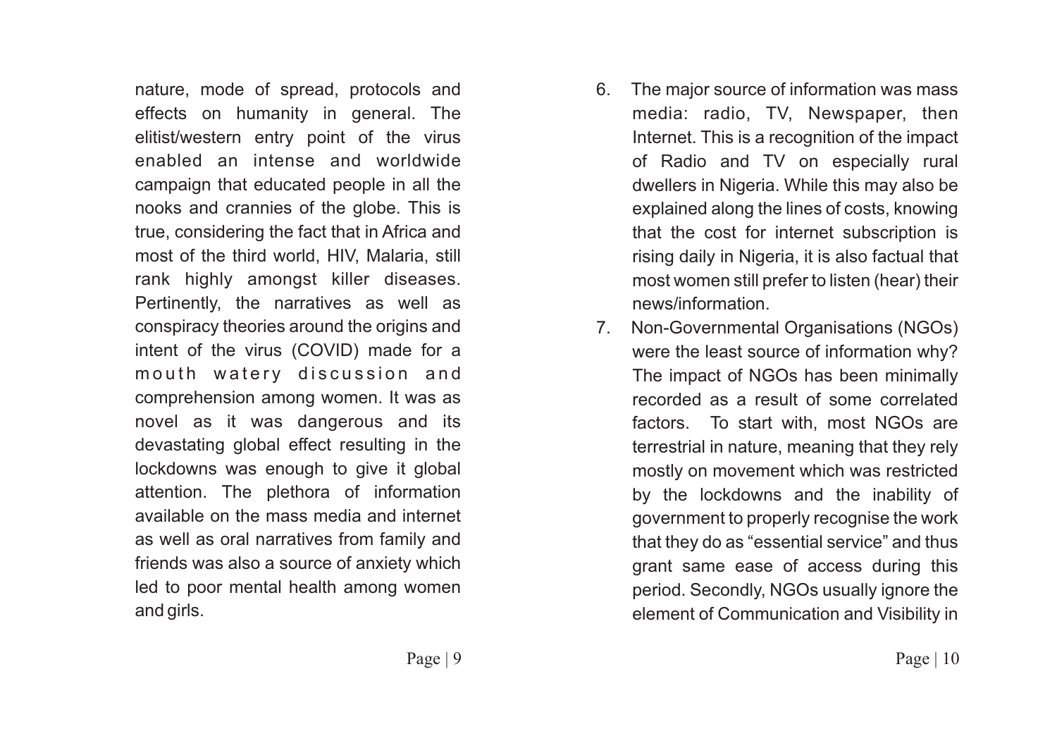nature, mode of spread, protocols and effects on humanity in general. The elitist/western entry point of the virus enabled an intense and worldwide campaign that educated people in all the nooks and crannies of the globe. This is true, considering the fact that in Africa and most of the third world, HIV, Malaria, still rank highly amongst killer diseases. Pertinently, the narratives as well as conspiracy theories around the origins and intent of the virus (COVID) made for a mouth watery discussion and comprehension among women. It was as novel as it was dangerous and its devastating global effect resulting in the lockdowns was enough to give it global attention. The plethora of information available on the mass media and internet as well as oral narratives from family and friends was also a source of anxiety which led to poor mental health among women and girls.

- 6. The major source of information was mass media: radio, TV, Newspaper, then Internet. This is a recognition of the impact of Radio and TV on especially rural dwellers in Nigeria. While this may also be explained along the lines of costs, knowing that the cost for internet subscription is rising daily in Nigeria, it is also factual that most women still prefer to listen (hear) their news/information.
- 7. Non-Governmental Organisations (NGOs) were the least source of information why? The impact of NGOs has been minimally recorded as a result of some correlated factors. To start with, most NGOs are terrestrial in nature, meaning that they rely mostly on movement which was restricted by the lockdowns and the inability of government to properly recognise the work that they do as "essential service" and thus grant same ease of access during this period. Secondly, NGOs usually ignore the element of Communication and Visibility in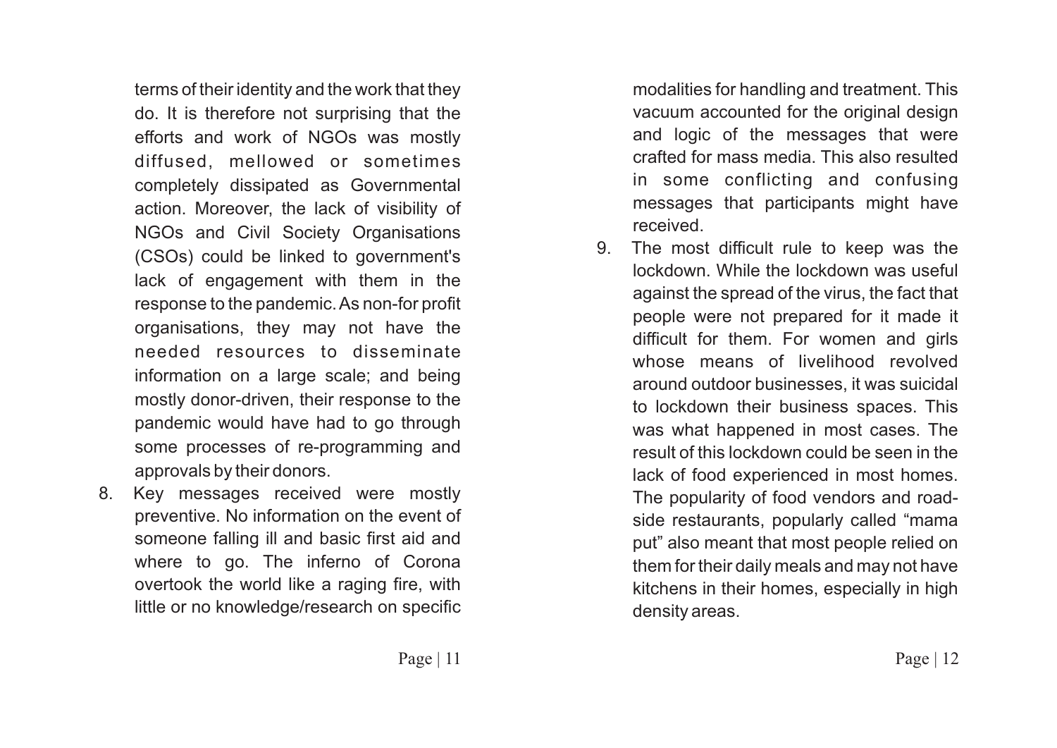terms of their identity and the work that they do. It is therefore not surprising that the efforts and work of NGOs was mostly diffused, mellowed or sometimes completely dissipated as Governmental action. Moreover, the lack of visibility of NGOs and Civil Society Organisations (CSOs) could be linked to government's lack of engagement with them in the response to the pandemic. As non-for profit organisations, they may not have the needed resources to disseminate information on a large scale; and being mostly donor-driven, their response to the pandemic would have had to go through some processes of re-programming and approvals by their donors.

8. Key messages received were mostly preventive. No information on the event of someone falling ill and basic first aid and where to go. The inferno of Corona overtook the world like a raging fire, with little or no knowledge/research on specific

modalities for handling and treatment. This vacuum accounted for the original design and logic of the messages that were crafted for mass media. This also resulted in some conflicting and confusing messages that participants might have received.

9. The most difficult rule to keep was the lockdown. While the lockdown was useful against the spread of the virus, the fact that people were not prepared for it made it difficult for them. For women and girls whose means of livelihood revolved around outdoor businesses, it was suicidal to lockdown their business spaces. This was what happened in most cases. The result of this lockdown could be seen in the lack of food experienced in most homes. The popularity of food vendors and roadside restaurants, popularly called "mama put" also meant that most people relied on them for their daily meals and may not have kitchens in their homes, especially in high density areas.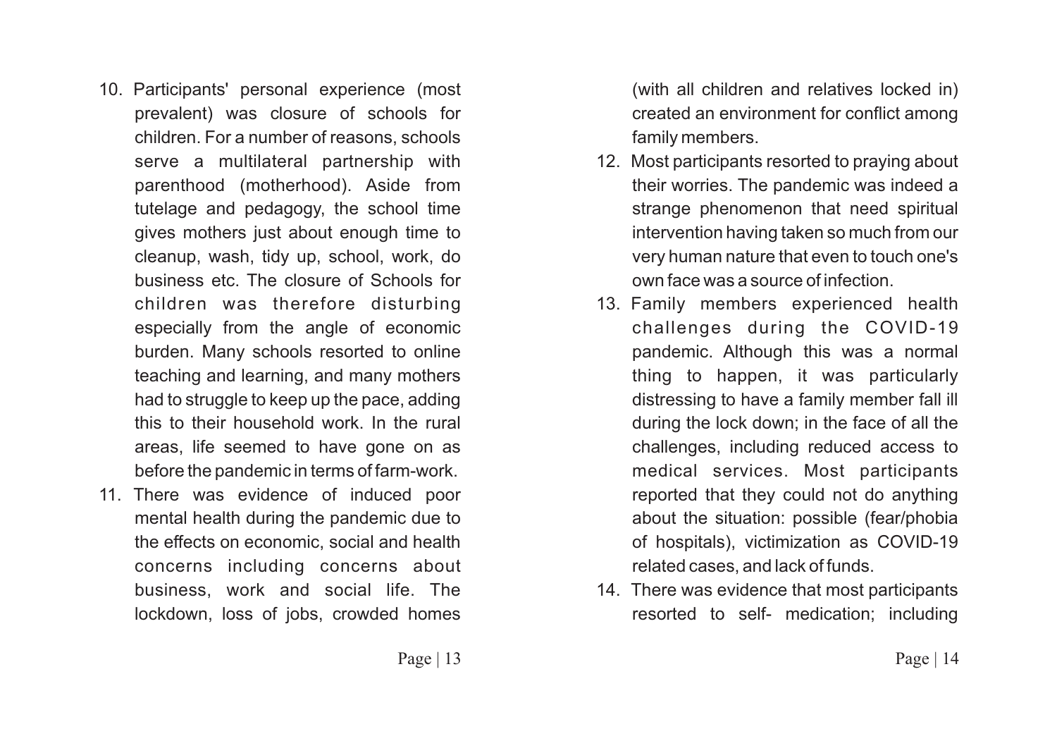- 10. Participants' personal experience (most prevalent) was closure of schools for children. For a number of reasons, schools serve a multilateral partnership with parenthood (motherhood). Aside from tutelage and pedagogy, the school time gives mothers just about enough time to cleanup, wash, tidy up, school, work, do business etc. The closure of Schools for children was therefore disturbing especially from the angle of economic burden. Many schools resorted to online teaching and learning, and many mothers had to struggle to keep up the pace, adding this to their household work. In the rural areas, life seemed to have gone on as before the pandemic in terms of farm-work.
- 11. There was evidence of induced poor mental health during the pandemic due to the effects on economic, social and health concerns including concerns about business, work and social life. The lockdown, loss of jobs, crowded homes

(with all children and relatives locked in) created an environment for conflict among family members.

- 12. Most participants resorted to praying about their worries. The pandemic was indeed a strange phenomenon that need spiritual intervention having taken so much from our very human nature that even to touch one's own face was a source of infection.
- 13. Family members experienced health challenges during the COVID-19 pandemic. Although this was a normal thing to happen, it was particularly distressing to have a family member fall ill during the lock down; in the face of all the challenges, including reduced access to medical services. Most participants reported that they could not do anything about the situation: possible (fear/phobia of hospitals), victimization as COVID-19 related cases, and lack of funds.
- 14. There was evidence that most participants resorted to self- medication; including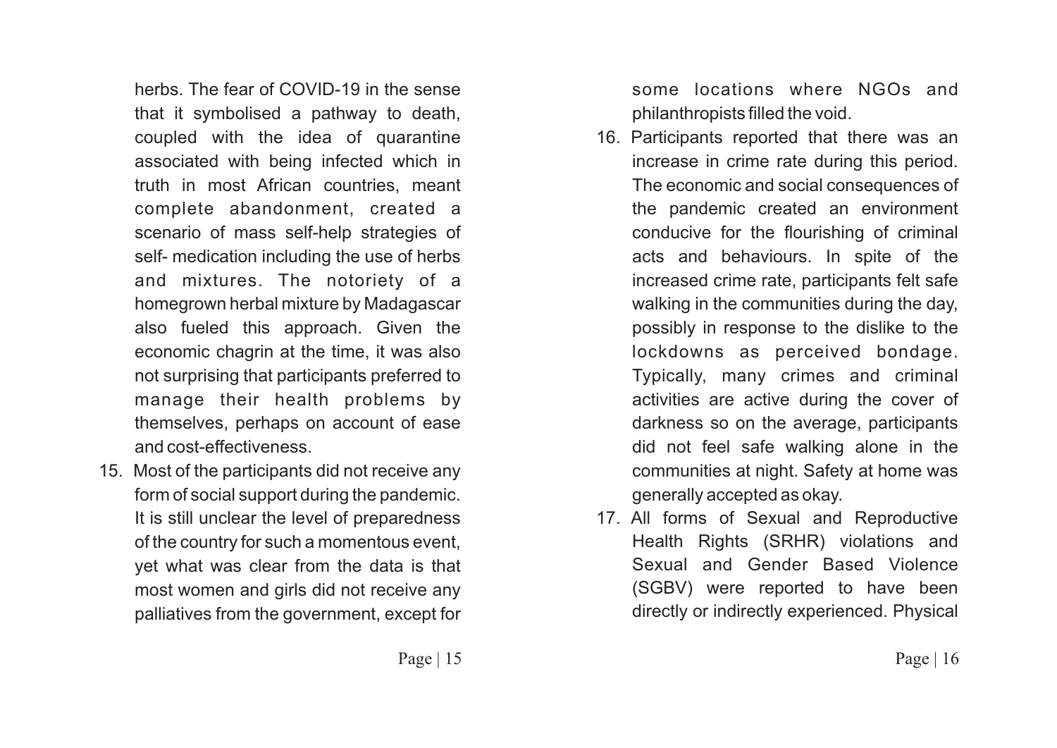herbs. The fear of COVID-19 in the sense that it symbolised a pathway to death, coupled with the idea of quarantine associated with being infected which in truth in most African countries, meant complete abandonment, created a scenario of mass self-help strategies of self- medication including the use of herbs and mixtures. The notoriety of a homegrown herbal mixture by Madagascar also fueled this approach. Given the economic chagrin at the time, it was also not surprising that participants preferred to manage their health problems by themselves, perhaps on account of ease and cost-effectiveness.

15. Most of the participants did not receive any form of social support during the pandemic. It is still unclear the level of preparedness of the country for such a momentous event, yet what was clear from the data is that most women and girls did not receive any palliatives from the government, except for

some locations where NGOs and philanthropists filled the void.

- 16. Participants reported that there was an increase in crime rate during this period. The economic and social consequences of the pandemic created an environment conducive for the flourishing of criminal acts and behaviours. In spite of the increased crime rate, participants felt safe walking in the communities during the day, possibly in response to the dislike to the lockdowns as perceived bondage. Typically, many crimes and criminal activities are active during the cover of darkness so on the average, participants did not feel safe walking alone in the communities at night. Safety at home was generally accepted as okay.
- 17. All forms of Sexual and Reproductive Health Rights (SRHR) violations and Sexual and Gender Based Violence (SGBV) were reported to have been directly or indirectly experienced. Physical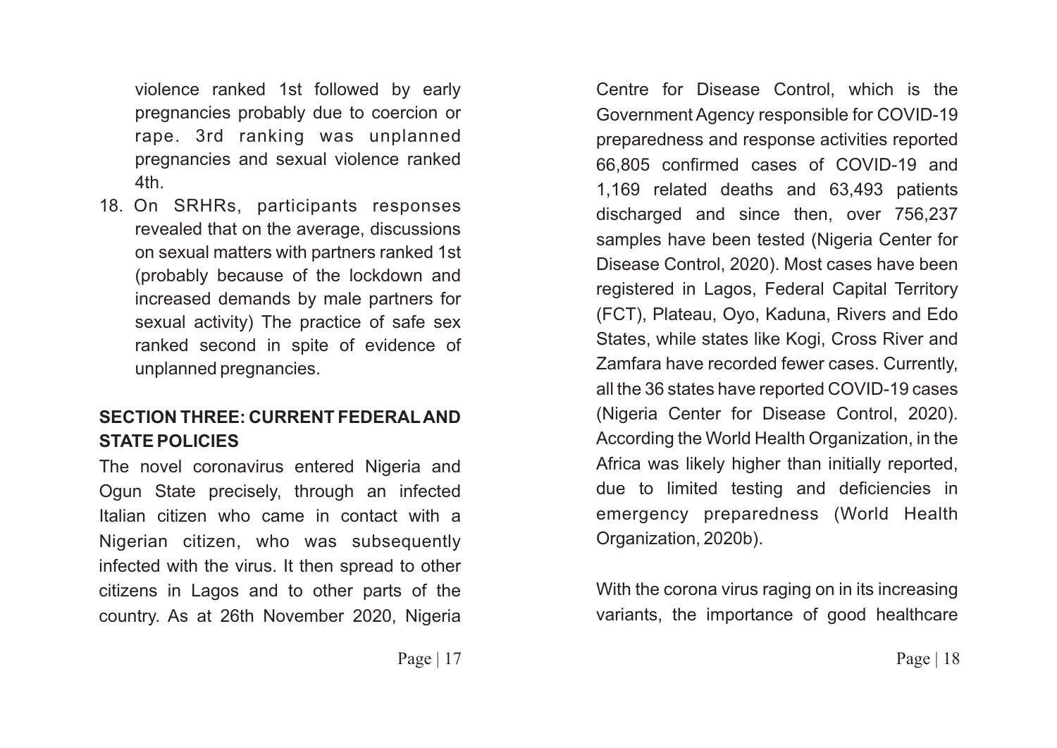violence ranked 1st followed by early pregnancies probably due to coercion or rape. 3rd ranking was unplanned pregnancies and sexual violence ranked 4th.

18. On SRHRs, participants responses revealed that on the average, discussions on sexual matters with partners ranked 1st (probably because of the lockdown and increased demands by male partners for sexual activity) The practice of safe sex ranked second in spite of evidence of unplanned pregnancies.

#### **SECTION THREE: CURRENT FEDERALAND STATE POLICIES**

The novel coronavirus entered Nigeria and Ogun State precisely, through an infected Italian citizen who came in contact with a Nigerian citizen, who was subsequently infected with the virus. It then spread to other citizens in Lagos and to other parts of the country. As at 26th November 2020, Nigeria

Centre for Disease Control, which is the Government Agency responsible for COVID-19 preparedness and response activities reported 66,805 confirmed cases of COVID-19 and 1,169 related deaths and 63,493 patients discharged and since then, over 756,237 samples have been tested (Nigeria Center for Disease Control, 2020). Most cases have been registered in Lagos, Federal Capital Territory (FCT), Plateau, Oyo, Kaduna, Rivers and Edo States, while states like Kogi, Cross River and Zamfara have recorded fewer cases. Currently, all the 36 states have reported COVID-19 cases (Nigeria Center for Disease Control, 2020). According the World Health Organization, in the Africa was likely higher than initially reported, due to limited testing and deficiencies in emergency preparedness (World Health Organization, 2020b).

With the corona virus raging on in its increasing variants, the importance of good healthcare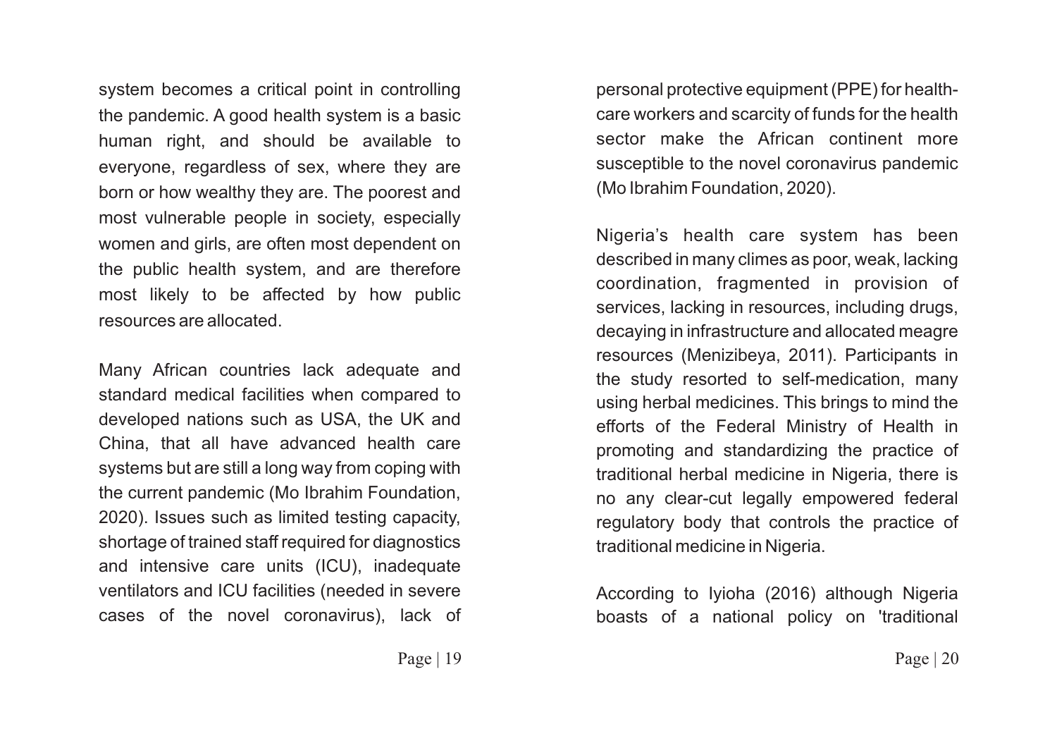system becomes a critical point in controlling the pandemic. A good health system is a basic human right, and should be available to everyone, regardless of sex, where they are born or how wealthy they are. The poorest and most vulnerable people in society, especially women and girls, are often most dependent on the public health system, and are therefore most likely to be affected by how public resources are allocated.

Many African countries lack adequate and standard medical facilities when compared to developed nations such as USA, the UK and China, that all have advanced health care systems but are still a long way from coping with the current pandemic (Mo Ibrahim Foundation, 2020). Issues such as limited testing capacity, shortage of trained staff required for diagnostics and intensive care units (ICU), inadequate ventilators and ICU facilities (needed in severe cases of the novel coronavirus), lack of personal protective equipment (PPE) for healthcare workers and scarcity of funds for the health sector make the African continent more susceptible to the novel coronavirus pandemic (Mo Ibrahim Foundation, 2020).

Nigeria's health care system has been described in many climes as poor, weak, lacking coordination, fragmented in provision of services, lacking in resources, including drugs, decaying in infrastructure and allocated meagre resources (Menizibeya, 2011). Participants in the study resorted to self-medication, many using herbal medicines. This brings to mind the efforts of the Federal Ministry of Health in promoting and standardizing the practice of traditional herbal medicine in Nigeria, there is no any clear-cut legally empowered federal regulatory body that controls the practice of traditional medicine in Nigeria.

According to Iyioha (2016) although Nigeria boasts of a national policy on 'traditional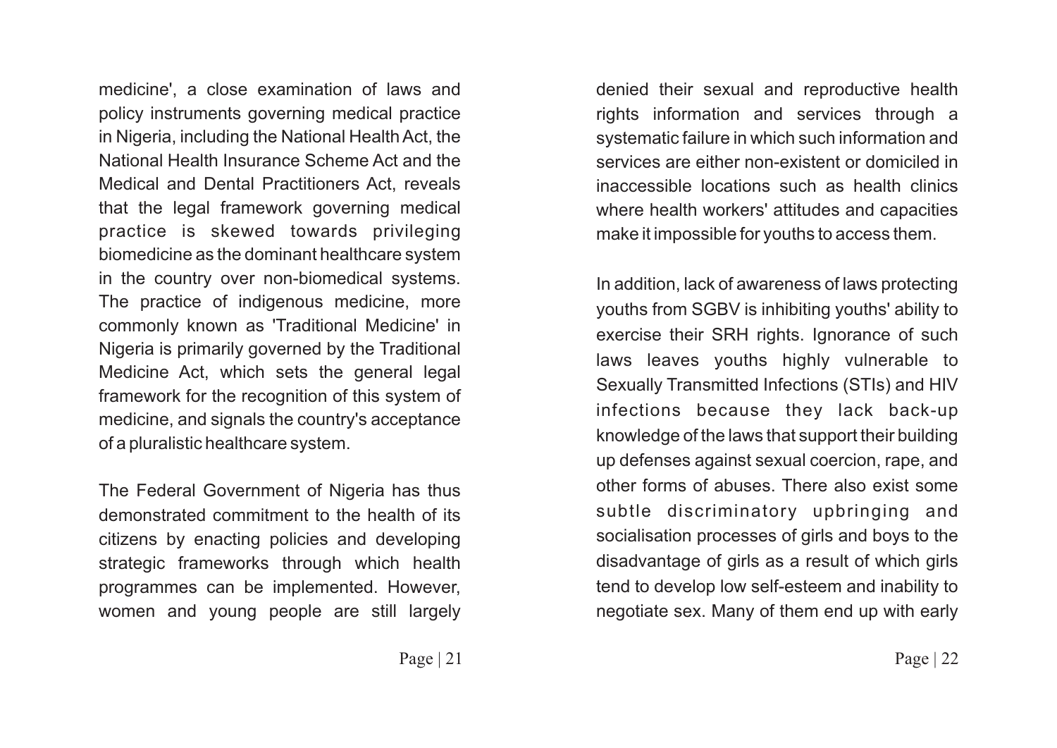medicine', a close examination of laws and policy instruments governing medical practice in Nigeria, including the National Health Act, the National Health Insurance Scheme Act and the Medical and Dental Practitioners Act, reveals that the legal framework governing medical practice is skewed towards privileging biomedicine as the dominant healthcare system in the country over non-biomedical systems. The practice of indigenous medicine, more commonly known as 'Traditional Medicine' in Nigeria is primarily governed by the Traditional Medicine Act, which sets the general legal framework for the recognition of this system of medicine, and signals the country's acceptance of a pluralistic healthcare system.

The Federal Government of Nigeria has thus demonstrated commitment to the health of its citizens by enacting policies and developing strategic frameworks through which health programmes can be implemented. However, women and young people are still largely denied their sexual and reproductive health rights information and services through a systematic failure in which such information and services are either non-existent or domiciled in inaccessible locations such as health clinics where health workers' attitudes and capacities make it impossible for youths to access them.

In addition, lack of awareness of laws protecting youths from SGBV is inhibiting youths' ability to exercise their SRH rights. Ignorance of such laws leaves youths highly vulnerable to Sexually Transmitted Infections (STIs) and HIV infections because they lack back-up knowledge of the laws that support their building up defenses against sexual coercion, rape, and other forms of abuses. There also exist some subtle discriminatory upbringing and socialisation processes of girls and boys to the disadvantage of girls as a result of which girls tend to develop low self-esteem and inability to negotiate sex. Many of them end up with early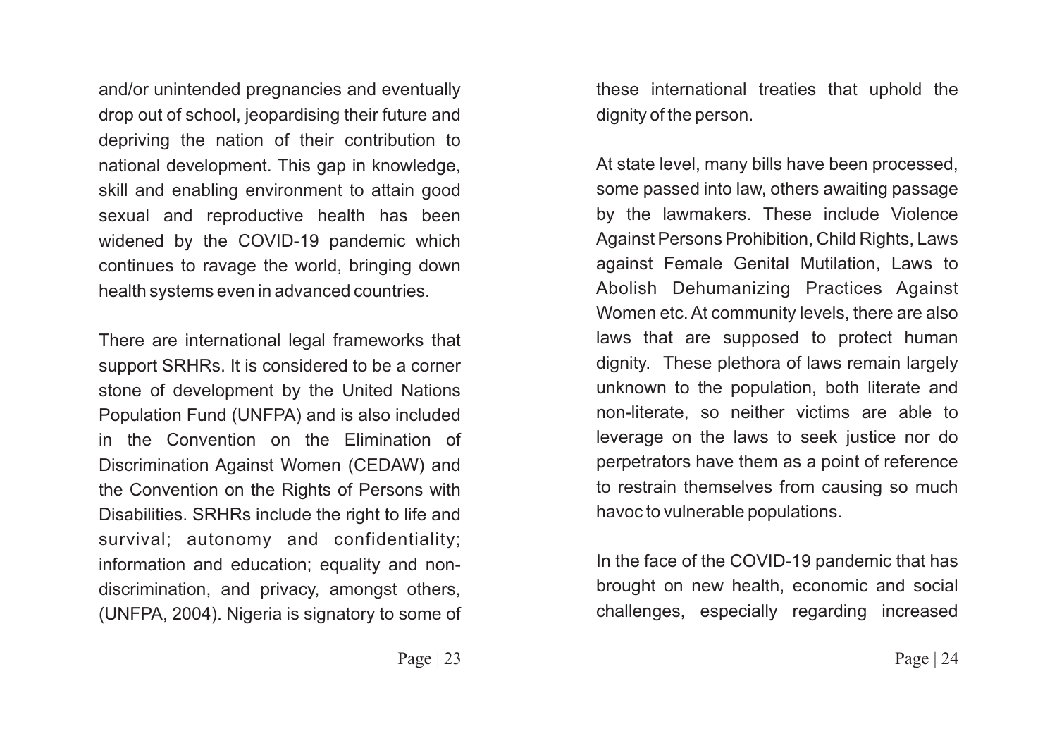and/or unintended pregnancies and eventually drop out of school, jeopardising their future and depriving the nation of their contribution to national development. This gap in knowledge, skill and enabling environment to attain good sexual and reproductive health has been widened by the COVID-19 pandemic which continues to ravage the world, bringing down health systems even in advanced countries.

There are international legal frameworks that support SRHRs. It is considered to be a corner stone of development by the United Nations Population Fund (UNFPA) and is also included in the Convention on the Elimination of Discrimination Against Women (CEDAW) and the Convention on the Rights of Persons with Disabilities. SRHRs include the right to life and survival; autonomy and confidentiality; information and education; equality and nondiscrimination, and privacy, amongst others, (UNFPA, 2004). Nigeria is signatory to some of

these international treaties that uphold the dignity of the person.

At state level, many bills have been processed, some passed into law, others awaiting passage by the lawmakers. These include Violence Against Persons Prohibition, Child Rights, Laws against Female Genital Mutilation, Laws to Abolish Dehumanizing Practices Against Women etc. At community levels, there are also laws that are supposed to protect human dignity. These plethora of laws remain largely unknown to the population, both literate and non-literate, so neither victims are able to leverage on the laws to seek justice nor do perpetrators have them as a point of reference to restrain themselves from causing so much havoc to vulnerable populations.

In the face of the COVID-19 pandemic that has brought on new health, economic and social challenges, especially regarding increased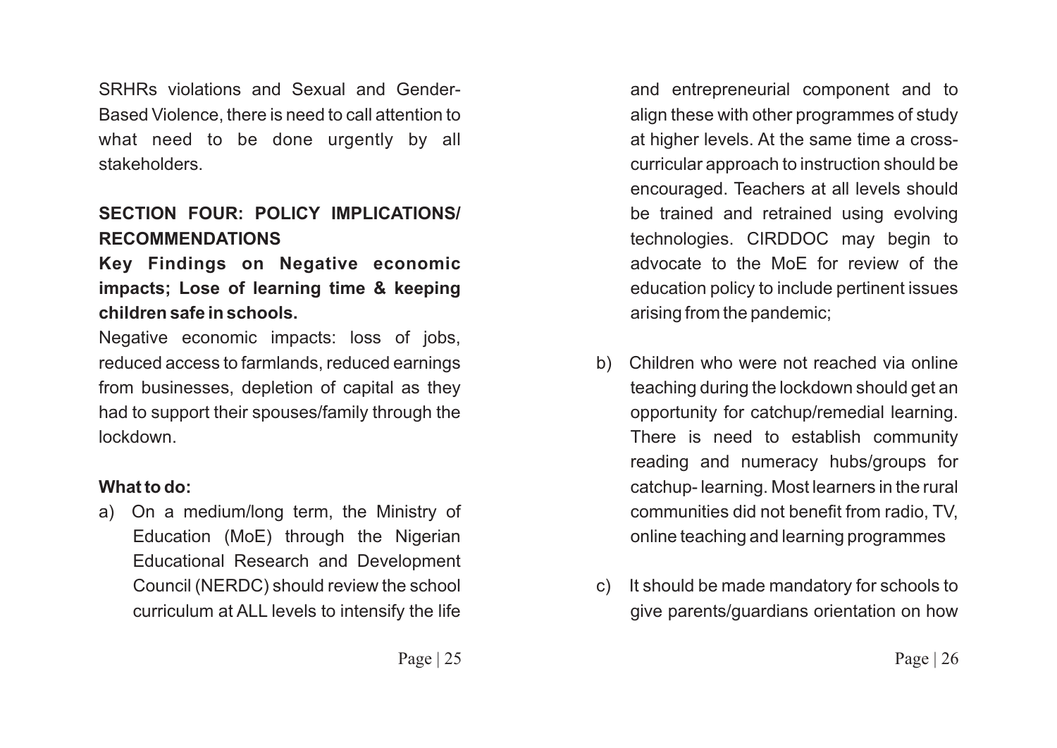SRHRs violations and Sexual and Gender-Based Violence, there is need to call attention to what need to be done urgently by all stakeholders.

## **SECTION FOUR: POLICY IMPLICATIONS/ RECOMMENDATIONS**

**Key Findings on Negative economic impacts; Lose of learning time & keeping children safe in schools.**

Negative economic impacts: loss of jobs, reduced access to farmlands, reduced earnings from businesses, depletion of capital as they had to support their spouses/family through the lockdown.

#### **What to do:**

a) On a medium/long term, the Ministry of Education (MoE) through the Nigerian Educational Research and Development Council (NERDC) should review the school curriculum at ALL levels to intensify the life

and entrepreneurial component and to align these with other programmes of study at higher levels. At the same time a crosscurricular approach to instruction should be encouraged. Teachers at all levels should be trained and retrained using evolving technologies. CIRDDOC may begin to advocate to the MoE for review of the education policy to include pertinent issues arising from the pandemic;

- b) Children who were not reached via online teaching during the lockdown should get an opportunity for catchup/remedial learning. There is need to establish community reading and numeracy hubs/groups for catchup- learning. Most learners in the rural communities did not benefit from radio, TV, online teaching and learning programmes
- c) It should be made mandatory for schools to give parents/guardians orientation on how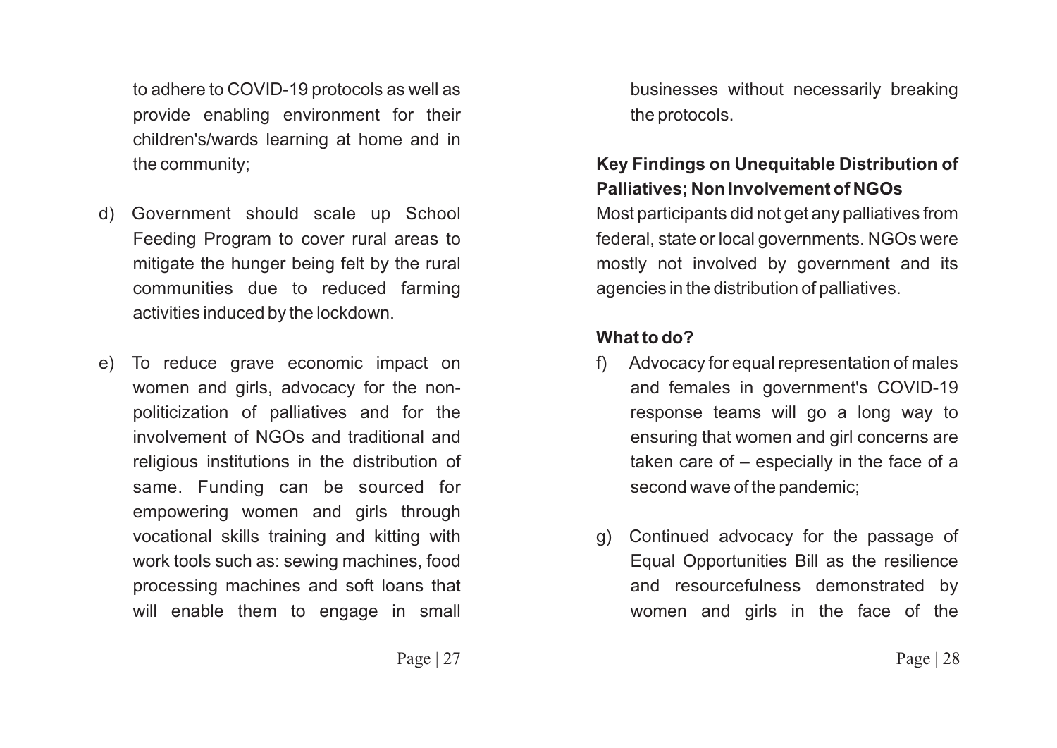to adhere to COVID-19 protocols as well as provide enabling environment for their children's/wards learning at home and in the community;

- d) Government should scale up School Feeding Program to cover rural areas to mitigate the hunger being felt by the rural communities due to reduced farming activities induced by the lockdown.
- e) To reduce grave economic impact on women and girls, advocacy for the nonpoliticization of palliatives and for the involvement of NGOs and traditional and religious institutions in the distribution of same. Funding can be sourced for empowering women and girls through vocational skills training and kitting with work tools such as: sewing machines, food processing machines and soft loans that will enable them to engage in small

businesses without necessarily breaking the protocols.

## **Key Findings on Unequitable Distribution of Palliatives; Non Involvement of NGOs**

Most participants did not get any palliatives from federal, state or local governments. NGOs were mostly not involved by government and its agencies in the distribution of palliatives.

#### **What to do?**

- f) Advocacy for equal representation of males and females in government's COVID-19 response teams will go a long way to ensuring that women and girl concerns are taken care of – especially in the face of a second wave of the pandemic;
- g) Continued advocacy for the passage of Equal Opportunities Bill as the resilience and resourcefulness demonstrated by women and girls in the face of the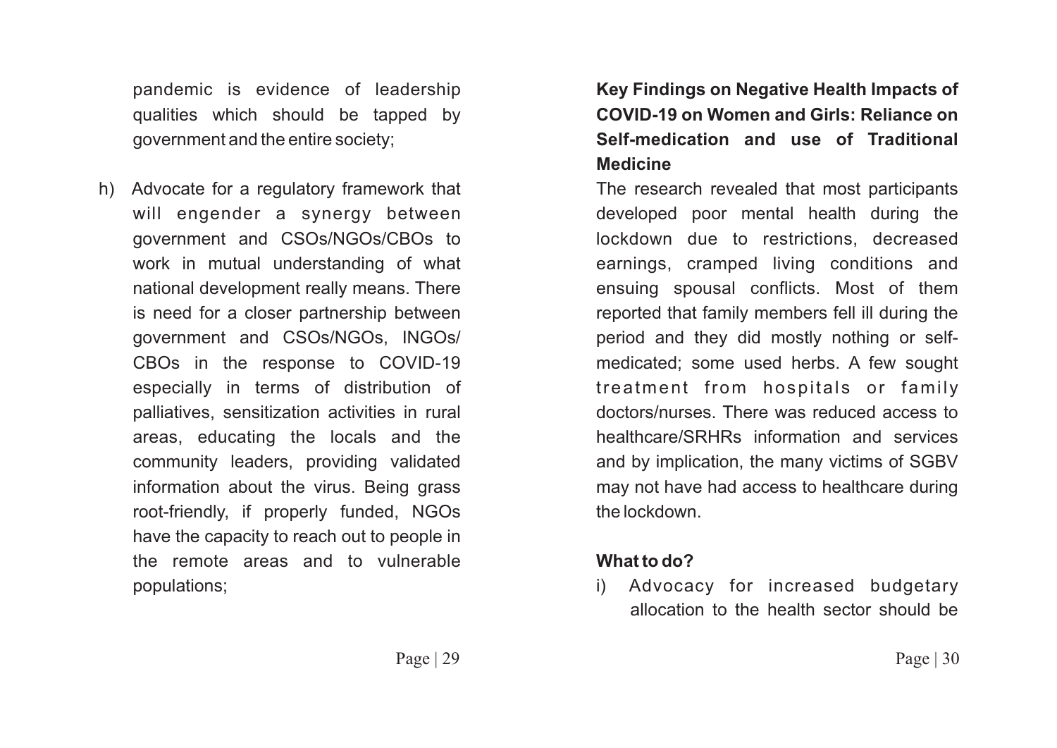pandemic is evidence of leadership qualities which should be tapped by government and the entire society;

h) Advocate for a regulatory framework that will engender a synergy between government and CSOs/NGOs/CBOs to work in mutual understanding of what national development really means. There is need for a closer partnership between government and CSOs/NGOs, INGOs/ CBOs in the response to COVID-19 especially in terms of distribution of palliatives, sensitization activities in rural areas, educating the locals and the community leaders, providing validated information about the virus. Being grass root-friendly, if properly funded, NGOs have the capacity to reach out to people in the remote areas and to vulnerable populations;

# **Key Findings on Negative Health Impacts of COVID-19 on Women and Girls: Reliance on Self-medication and use of Traditional Medicine**

The research revealed that most participants developed poor mental health during the lockdown due to restrictions, decreased earnings, cramped living conditions and ensuing spousal conflicts. Most of them reported that family members fell ill during the period and they did mostly nothing or selfmedicated; some used herbs. A few sought treatment from hospitals or family doctors/nurses. There was reduced access to healthcare/SRHRs information and services and by implication, the many victims of SGBV may not have had access to healthcare during the lockdown.

#### **What to do?**

i) Advocacy for increased budgetary allocation to the health sector should be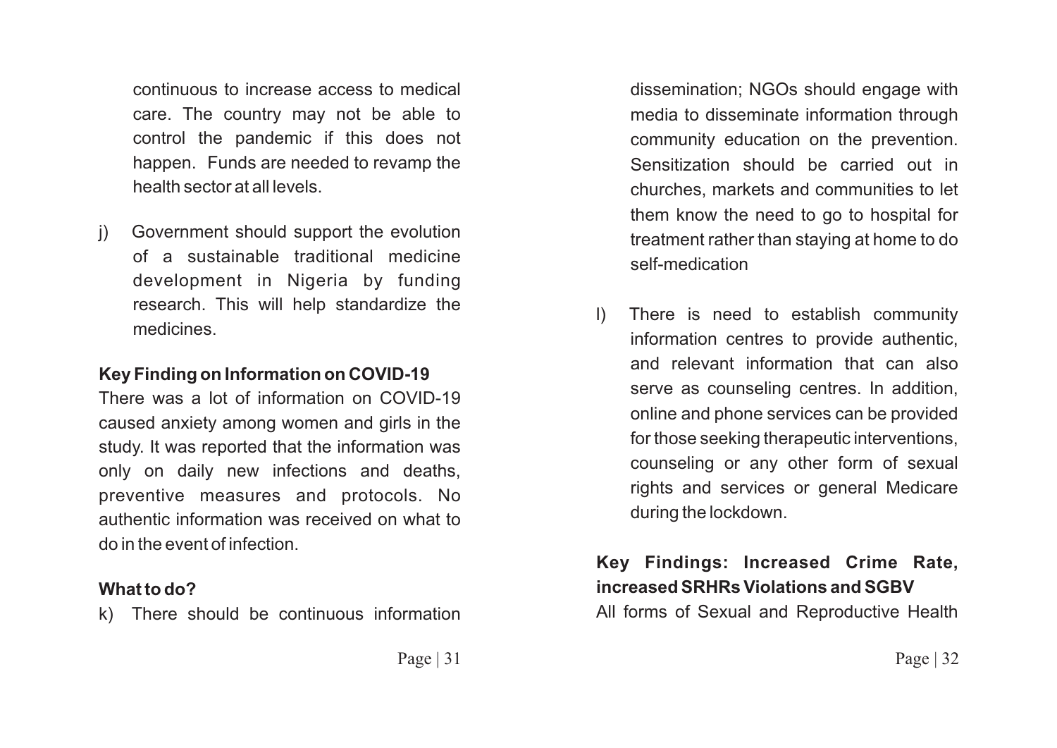continuous to increase access to medical care. The country may not be able to control the pandemic if this does not happen. Funds are needed to revamp the health sector at all levels.

j) Government should support the evolution of a sustainable traditional medicine development in Nigeria by funding research. This will help standardize the medicines.

#### **Key Finding on Information on COVID-19**

There was a lot of information on COVID-19 caused anxiety among women and girls in the study. It was reported that the information was only on daily new infections and deaths, preventive measures and protocols. No authentic information was received on what to do in the event of infection.

#### **What to do?**

k) There should be continuous information

dissemination; NGOs should engage with media to disseminate information through community education on the prevention. Sensitization should be carried out in churches, markets and communities to let them know the need to go to hospital for treatment rather than staying at home to do self-medication

l) There is need to establish community information centres to provide authentic, and relevant information that can also serve as counseling centres. In addition, online and phone services can be provided for those seeking therapeutic interventions, counseling or any other form of sexual rights and services or general Medicare during the lockdown.

# **Key Findings: Increased Crime Rate, increased SRHRs Violations and SGBV**

All forms of Sexual and Reproductive Health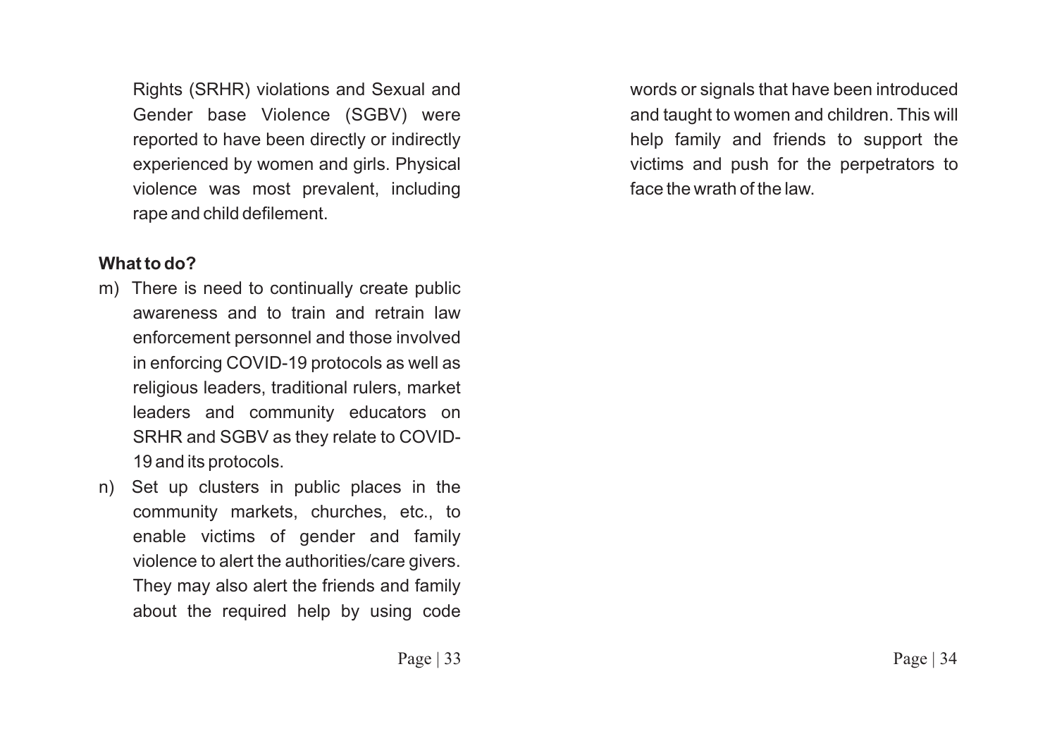Rights (SRHR) violations and Sexual and Gender base Violence (SGBV) were reported to have been directly or indirectly experienced by women and girls. Physical violence was most prevalent, including rape and child defilement.

#### **What to do?**

- m) There is need to continually create public awareness and to train and retrain law enforcement personnel and those involved in enforcing COVID-19 protocols as well as religious leaders, traditional rulers, market leaders and community educators on SRHR and SGBV as they relate to COVID-19 and its protocols.
- n) Set up clusters in public places in the community markets, churches, etc., to enable victims of gender and family violence to alert the authorities/care givers. They may also alert the friends and family about the required help by using code

words or signals that have been introduced and taught to women and children. This will help family and friends to support the victims and push for the perpetrators to face the wrath of the law.